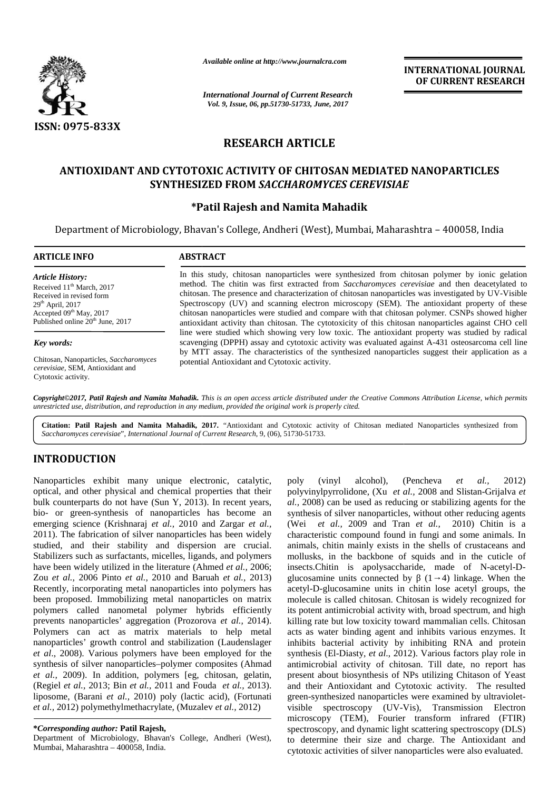

*Available online at http://www.journalcra.com*

# **RESEARCH ARTICLE**

## ANTIOXIDANT AND CYTOTOXIC ACTIVITY OF CHITOSAN MEDIATED NANOPARTICLES **SYNTHESIZED FROM** *SACCHAROMYCES CEREVISIAE SACCHAROMYCES*

## **\*Patil Rajesh and Namita Mahadik \*Patil Rajesh**

|                                                                                                                                                                                                                                                                                                                                                                                                                                                                                                                                                                                                                                                                                                                                                                                                                                                                                                                                                                                                                                                                                                                                                                                                                                                                                                                                                                                                                                              | Available online at http://www.journalcra.com                                                                                                                                                                                                                                                                                                                                                                                                                                                                                                                                                                     |                                                                      | <b>INTERNATIONAL JOURNAL</b><br>OF CURRENT RESEARCH                                                                                                                                                                                                                                                                                                                                                                                                                                                                                                                                                                                                                                                                                                                                                                                                                                                                                                                                                                                                                                                                                                                                                                                                                                                                                                                                                                                |  |  |  |  |  |  |  |  |
|----------------------------------------------------------------------------------------------------------------------------------------------------------------------------------------------------------------------------------------------------------------------------------------------------------------------------------------------------------------------------------------------------------------------------------------------------------------------------------------------------------------------------------------------------------------------------------------------------------------------------------------------------------------------------------------------------------------------------------------------------------------------------------------------------------------------------------------------------------------------------------------------------------------------------------------------------------------------------------------------------------------------------------------------------------------------------------------------------------------------------------------------------------------------------------------------------------------------------------------------------------------------------------------------------------------------------------------------------------------------------------------------------------------------------------------------|-------------------------------------------------------------------------------------------------------------------------------------------------------------------------------------------------------------------------------------------------------------------------------------------------------------------------------------------------------------------------------------------------------------------------------------------------------------------------------------------------------------------------------------------------------------------------------------------------------------------|----------------------------------------------------------------------|------------------------------------------------------------------------------------------------------------------------------------------------------------------------------------------------------------------------------------------------------------------------------------------------------------------------------------------------------------------------------------------------------------------------------------------------------------------------------------------------------------------------------------------------------------------------------------------------------------------------------------------------------------------------------------------------------------------------------------------------------------------------------------------------------------------------------------------------------------------------------------------------------------------------------------------------------------------------------------------------------------------------------------------------------------------------------------------------------------------------------------------------------------------------------------------------------------------------------------------------------------------------------------------------------------------------------------------------------------------------------------------------------------------------------------|--|--|--|--|--|--|--|--|
|                                                                                                                                                                                                                                                                                                                                                                                                                                                                                                                                                                                                                                                                                                                                                                                                                                                                                                                                                                                                                                                                                                                                                                                                                                                                                                                                                                                                                                              | <b>International Journal of Current Research</b><br>Vol. 9, Issue, 06, pp.51730-51733, June, 2017                                                                                                                                                                                                                                                                                                                                                                                                                                                                                                                 |                                                                      |                                                                                                                                                                                                                                                                                                                                                                                                                                                                                                                                                                                                                                                                                                                                                                                                                                                                                                                                                                                                                                                                                                                                                                                                                                                                                                                                                                                                                                    |  |  |  |  |  |  |  |  |
| <b>ISSN: 0975-833X</b>                                                                                                                                                                                                                                                                                                                                                                                                                                                                                                                                                                                                                                                                                                                                                                                                                                                                                                                                                                                                                                                                                                                                                                                                                                                                                                                                                                                                                       |                                                                                                                                                                                                                                                                                                                                                                                                                                                                                                                                                                                                                   |                                                                      |                                                                                                                                                                                                                                                                                                                                                                                                                                                                                                                                                                                                                                                                                                                                                                                                                                                                                                                                                                                                                                                                                                                                                                                                                                                                                                                                                                                                                                    |  |  |  |  |  |  |  |  |
|                                                                                                                                                                                                                                                                                                                                                                                                                                                                                                                                                                                                                                                                                                                                                                                                                                                                                                                                                                                                                                                                                                                                                                                                                                                                                                                                                                                                                                              |                                                                                                                                                                                                                                                                                                                                                                                                                                                                                                                                                                                                                   | <b>RESEARCH ARTICLE</b>                                              |                                                                                                                                                                                                                                                                                                                                                                                                                                                                                                                                                                                                                                                                                                                                                                                                                                                                                                                                                                                                                                                                                                                                                                                                                                                                                                                                                                                                                                    |  |  |  |  |  |  |  |  |
|                                                                                                                                                                                                                                                                                                                                                                                                                                                                                                                                                                                                                                                                                                                                                                                                                                                                                                                                                                                                                                                                                                                                                                                                                                                                                                                                                                                                                                              | ANTIOXIDANT AND CYTOTOXIC ACTIVITY OF CHITOSAN MEDIATED NANOPARTICLES<br>SYNTHESIZED FROM SACCHAROMYCES CEREVISIAE<br>*Patil Rajesh and Namita Mahadik                                                                                                                                                                                                                                                                                                                                                                                                                                                            |                                                                      |                                                                                                                                                                                                                                                                                                                                                                                                                                                                                                                                                                                                                                                                                                                                                                                                                                                                                                                                                                                                                                                                                                                                                                                                                                                                                                                                                                                                                                    |  |  |  |  |  |  |  |  |
| <b>ARTICLE INFO</b>                                                                                                                                                                                                                                                                                                                                                                                                                                                                                                                                                                                                                                                                                                                                                                                                                                                                                                                                                                                                                                                                                                                                                                                                                                                                                                                                                                                                                          | <b>ABSTRACT</b>                                                                                                                                                                                                                                                                                                                                                                                                                                                                                                                                                                                                   |                                                                      | Department of Microbiology, Bhavan's College, Andheri (West), Mumbai, Maharashtra - 400058, India                                                                                                                                                                                                                                                                                                                                                                                                                                                                                                                                                                                                                                                                                                                                                                                                                                                                                                                                                                                                                                                                                                                                                                                                                                                                                                                                  |  |  |  |  |  |  |  |  |
| <b>Article History:</b><br>Received 11 <sup>th</sup> March, 2017<br>Received in revised form<br>29 <sup>th</sup> April, 2017<br>Accepted 09th May, 2017<br>Published online 20 <sup>th</sup> June, 2017                                                                                                                                                                                                                                                                                                                                                                                                                                                                                                                                                                                                                                                                                                                                                                                                                                                                                                                                                                                                                                                                                                                                                                                                                                      | In this study, chitosan nanoparticles were synthesized from chitosan polymer by ionic gelation<br>method. The chitin was first extracted from Saccharomyces cerevisiae and then deacetylated to<br>chitosan. The presence and characterization of chitosan nanoparticles was investigated by UV-Visible<br>Spectroscopy (UV) and scanning electron microscopy (SEM). The antioxidant property of these<br>chitosan nanoparticles were studied and compare with that chitosan polymer. CSNPs showed higher<br>antioxidant activity than chitosan. The cytotoxicity of this chitosan nanoparticles against CHO cell |                                                                      |                                                                                                                                                                                                                                                                                                                                                                                                                                                                                                                                                                                                                                                                                                                                                                                                                                                                                                                                                                                                                                                                                                                                                                                                                                                                                                                                                                                                                                    |  |  |  |  |  |  |  |  |
| Key words:                                                                                                                                                                                                                                                                                                                                                                                                                                                                                                                                                                                                                                                                                                                                                                                                                                                                                                                                                                                                                                                                                                                                                                                                                                                                                                                                                                                                                                   |                                                                                                                                                                                                                                                                                                                                                                                                                                                                                                                                                                                                                   |                                                                      | line were studied which showing very low toxic. The antioxidant property was studied by radical<br>scavenging (DPPH) assay and cytotoxic activity was evaluated against A-431 osteosarcoma cell line                                                                                                                                                                                                                                                                                                                                                                                                                                                                                                                                                                                                                                                                                                                                                                                                                                                                                                                                                                                                                                                                                                                                                                                                                               |  |  |  |  |  |  |  |  |
| Chitosan, Nanoparticles, Saccharomyces<br>cerevisiae, SEM, Antioxidant and<br>Cytotoxic activity.                                                                                                                                                                                                                                                                                                                                                                                                                                                                                                                                                                                                                                                                                                                                                                                                                                                                                                                                                                                                                                                                                                                                                                                                                                                                                                                                            | by MTT assay. The characteristics of the synthesized nanoparticles suggest their application as a<br>potential Antioxidant and Cytotoxic activity.                                                                                                                                                                                                                                                                                                                                                                                                                                                                |                                                                      |                                                                                                                                                                                                                                                                                                                                                                                                                                                                                                                                                                                                                                                                                                                                                                                                                                                                                                                                                                                                                                                                                                                                                                                                                                                                                                                                                                                                                                    |  |  |  |  |  |  |  |  |
| Saccharomyces cerevisiae", International Journal of Current Research, 9, (06), 51730-51733.                                                                                                                                                                                                                                                                                                                                                                                                                                                                                                                                                                                                                                                                                                                                                                                                                                                                                                                                                                                                                                                                                                                                                                                                                                                                                                                                                  |                                                                                                                                                                                                                                                                                                                                                                                                                                                                                                                                                                                                                   |                                                                      | Citation: Patil Rajesh and Namita Mahadik, 2017. "Antioxidant and Cytotoxic activity of Chitosan mediated Nanoparticles synthesized from                                                                                                                                                                                                                                                                                                                                                                                                                                                                                                                                                                                                                                                                                                                                                                                                                                                                                                                                                                                                                                                                                                                                                                                                                                                                                           |  |  |  |  |  |  |  |  |
| <b>INTRODUCTION</b>                                                                                                                                                                                                                                                                                                                                                                                                                                                                                                                                                                                                                                                                                                                                                                                                                                                                                                                                                                                                                                                                                                                                                                                                                                                                                                                                                                                                                          |                                                                                                                                                                                                                                                                                                                                                                                                                                                                                                                                                                                                                   |                                                                      |                                                                                                                                                                                                                                                                                                                                                                                                                                                                                                                                                                                                                                                                                                                                                                                                                                                                                                                                                                                                                                                                                                                                                                                                                                                                                                                                                                                                                                    |  |  |  |  |  |  |  |  |
| Nanoparticles exhibit many unique electronic, catalytic,<br>optical, and other physical and chemical properties that their<br>bulk counterparts do not have (Sun Y, 2013). In recent years,<br>bio- or green-synthesis of nanoparticles has become an<br>emerging science (Krishnaraj et al., 2010 and Zargar et al.,<br>2011). The fabrication of silver nanoparticles has been widely<br>studied, and their stability and dispersion are crucial.<br>Stabilizers such as surfactants, micelles, ligands, and polymers<br>have been widely utilized in the literature (Ahmed et al., 2006;<br>Zou et al., 2006 Pinto et al., 2010 and Baruah et al., 2013)<br>Recently, incorporating metal nanoparticles into polymers has<br>been proposed. Immobilizing metal nanoparticles on matrix<br>polymers called nanometal polymer hybrids efficiently<br>prevents nanoparticles' aggregation (Prozorova et al., 2014).<br>Polymers can act as matrix materials to help metal<br>nanoparticles' growth control and stabilization (Laudenslager<br>et al., 2008). Various polymers have been employed for the<br>synthesis of silver nanoparticles-polymer composites (Ahmad<br>et al., 2009). In addition, polymers [eg, chitosan, gelatin,<br>(Regiel et al., 2013; Bin et al., 2011 and Fouda et al., 2013).<br>liposome, (Barani et al., 2010) poly (lactic acid), (Fortunati<br>et al., 2012) polymethylmethacrylate, (Muzalev et al., 2012) |                                                                                                                                                                                                                                                                                                                                                                                                                                                                                                                                                                                                                   | (Wei et al., 2009 and Tran et al.,<br>visible spectroscopy (UV-Vis), | 2012)<br>poly (vinyl alcohol), (Pencheva et al.,<br>polyvinylpyrrolidone, (Xu et al., 2008 and Slistan-Grijalva et<br>al., 2008) can be used as reducing or stabilizing agents for the<br>synthesis of silver nanoparticles, without other reducing agents<br>2010) Chitin is a<br>characteristic compound found in fungi and some animals. In<br>animals, chitin mainly exists in the shells of crustaceans and<br>mollusks, in the backbone of squids and in the cuticle of<br>insects.Chitin is apolysaccharide, made of N-acetyl-D-<br>glucosamine units connected by $(1\quad 4)$ linkage. When the<br>acetyl-D-glucosamine units in chitin lose acetyl groups, the<br>molecule is called chitosan. Chitosan is widely recognized for<br>its potent antimicrobial activity with, broad spectrum, and high<br>killing rate but low toxicity toward mammalian cells. Chitosan<br>acts as water binding agent and inhibits various enzymes. It<br>inhibits bacterial activity by inhibiting RNA and protein<br>synthesis (El-Diasty, et al., 2012). Various factors play role in<br>antimicrobial activity of chitosan. Till date, no report has<br>present about biosynthesis of NPs utilizing Chitason of Yeast<br>and their Antioxidant and Cytotoxic activity. The resulted<br>green-synthesized nanoparticles were examined by ultraviolet-<br>Transmission Electron<br>microscopy (TEM), Fourier transform infrared (FTIR) |  |  |  |  |  |  |  |  |
| *Corresponding author: Patil Rajesh,<br>Department of Microbiology, Bhavan's College, Andheri (West),                                                                                                                                                                                                                                                                                                                                                                                                                                                                                                                                                                                                                                                                                                                                                                                                                                                                                                                                                                                                                                                                                                                                                                                                                                                                                                                                        |                                                                                                                                                                                                                                                                                                                                                                                                                                                                                                                                                                                                                   |                                                                      | spectroscopy, and dynamic light scattering spectroscopy (DLS)<br>to determine their size and charge. The Antioxidant and                                                                                                                                                                                                                                                                                                                                                                                                                                                                                                                                                                                                                                                                                                                                                                                                                                                                                                                                                                                                                                                                                                                                                                                                                                                                                                           |  |  |  |  |  |  |  |  |

# **INTRODUCTION INTRODUCTION**

#### **\****Corresponding author:* **Patil Rajesh, \***

Department of Microbiology, Bhavan's College, Andheri (West), Mumbai, Maharashtra – 400058, India.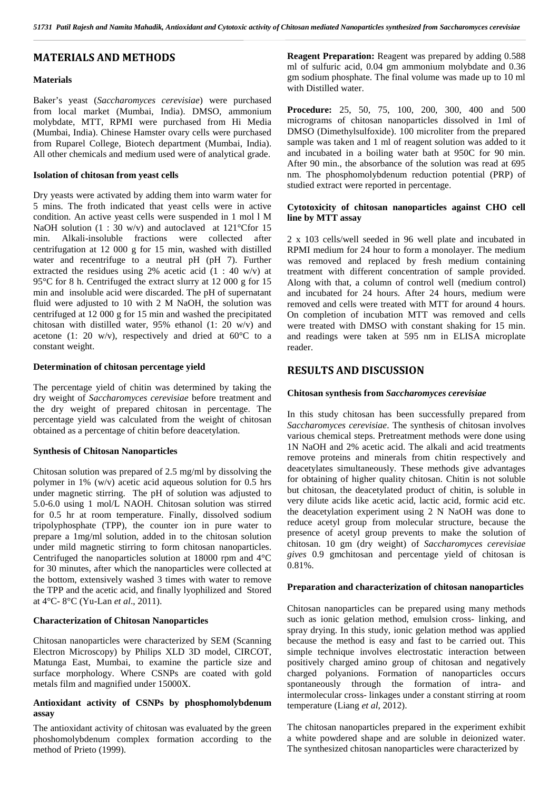## **MATERIALS AND METHODS**

### **Materials**

Baker's yeast (*Saccharomyces cerevisiae*) were purchased from local market (Mumbai, India). DMSO, ammonium molybdate, MTT, RPMI were purchased from Hi Media (Mumbai, India). Chinese Hamster ovary cells were purchased from Ruparel College, Biotech department (Mumbai, India). All other chemicals and medium used were of analytical grade.

#### **Isolation of chitosan from yeast cells**

Dry yeasts were activated by adding them into warm water for 5 mins. The froth indicated that yeast cells were in active condition. An active yeast cells were suspended in 1 mol l M NaOH solution  $(1 : 30 \text{ w/v})$  and autoclaved at 121°Cfor 15 min. Alkali-insoluble fractions were collected after centrifugation at 12 000 g for 15 min, washed with distilled water and recentrifuge to a neutral pH (pH 7). Further extracted the residues using 2% acetic acid (1 : 40 w/v) at 95°C for 8 h. Centrifuged the extract slurry at 12 000 g for 15 min and insoluble acid were discarded. The pH of supernatant fluid were adjusted to 10 with 2 M NaOH, the solution was centrifuged at 12 000 g for 15 min and washed the precipitated chitosan with distilled water, 95% ethanol (1: 20 w/v) and acetone (1: 20 w/v), respectively and dried at  $60^{\circ}$ C to a constant weight.

### **Determination of chitosan percentage yield**

The percentage yield of chitin was determined by taking the dry weight of *Saccharomyces cerevisiae* before treatment and the dry weight of prepared chitosan in percentage. The percentage yield was calculated from the weight of chitosan obtained as a percentage of chitin before deacetylation.

#### **Synthesis of Chitosan Nanoparticles**

Chitosan solution was prepared of 2.5 mg/ml by dissolving the polymer in 1% (w/v) acetic acid aqueous solution for 0.5 hrs under magnetic stirring. The pH of solution was adjusted to 5.0-6.0 using 1 mol/L NAOH. Chitosan solution was stirred for 0.5 hr at room temperature. Finally, dissolved sodium tripolyphosphate (TPP), the counter ion in pure water to prepare a 1mg/ml solution, added in to the chitosan solution under mild magnetic stirring to form chitosan nanoparticles. Centrifuged the nanoparticles solution at 18000 rpm and 4°C for 30 minutes, after which the nanoparticles were collected at the bottom, extensively washed 3 times with water to remove the TPP and the acetic acid, and finally lyophilized and Stored at 4°C- 8°C (Yu-Lan *et al*., 2011).

#### **Characterization of Chitosan Nanoparticles**

Chitosan nanoparticles were characterized by SEM (Scanning Electron Microscopy) by Philips XLD 3D model, CIRCOT, Matunga East, Mumbai, to examine the particle size and surface morphology. Where CSNPs are coated with gold metals film and magnified under 15000X.

### **Antioxidant activity of CSNPs by phosphomolybdenum assay**

The antioxidant activity of chitosan was evaluated by the green phoshomolybdenum complex formation according to the method of Prieto (1999).

**Reagent Preparation:** Reagent was prepared by adding 0.588 ml of sulfuric acid, 0.04 gm ammonium molybdate and 0.36 gm sodium phosphate. The final volume was made up to 10 ml with Distilled water.

**Procedure:** 25, 50, 75, 100, 200, 300, 400 and 500 micrograms of chitosan nanoparticles dissolved in 1ml of DMSO (Dimethylsulfoxide). 100 microliter from the prepared sample was taken and 1 ml of reagent solution was added to it and incubated in a boiling water bath at 950C for 90 min. After 90 min., the absorbance of the solution was read at 695 nm. The phosphomolybdenum reduction potential (PRP) of studied extract were reported in percentage.

#### **Cytotoxicity of chitosan nanoparticles against CHO cell line by MTT assay**

2 x 103 cells/well seeded in 96 well plate and incubated in RPMI medium for 24 hour to form a monolayer. The medium was removed and replaced by fresh medium containing treatment with different concentration of sample provided. Along with that, a column of control well (medium control) and incubated for 24 hours. After 24 hours, medium were removed and cells were treated with MTT for around 4 hours. On completion of incubation MTT was removed and cells were treated with DMSO with constant shaking for 15 min. and readings were taken at 595 nm in ELISA microplate reader.

### **RESULTS AND DISCUSSION**

#### **Chitosan synthesis from** *Saccharomyces cerevisiae*

In this study chitosan has been successfully prepared from *Saccharomyces cerevisiae*. The synthesis of chitosan involves various chemical steps. Pretreatment methods were done using 1N NaOH and 2% acetic acid. The alkali and acid treatments remove proteins and minerals from chitin respectively and deacetylates simultaneously. These methods give advantages for obtaining of higher quality chitosan. Chitin is not soluble but chitosan, the deacetylated product of chitin, is soluble in very dilute acids like acetic acid, lactic acid, formic acid etc. the deacetylation experiment using 2 N NaOH was done to reduce acetyl group from molecular structure, because the presence of acetyl group prevents to make the solution of chitosan. 10 gm (dry weight) of *Saccharomyces cerevisiae gives* 0.9 gmchitosan and percentage yield of chitosan is 0.81%.

#### **Preparation and characterization of chitosan nanoparticles**

Chitosan nanoparticles can be prepared using many methods such as ionic gelation method, emulsion cross- linking, and spray drying. In this study, ionic gelation method was applied because the method is easy and fast to be carried out. This simple technique involves electrostatic interaction between positively charged amino group of chitosan and negatively charged polyanions. Formation of nanoparticles occurs spontaneously through the formation of intra- and intermolecular cross- linkages under a constant stirring at room temperature (Liang *et al*, 2012).

The chitosan nanoparticles prepared in the experiment exhibit a white powdered shape and are soluble in deionized water. The synthesized chitosan nanoparticles were characterized by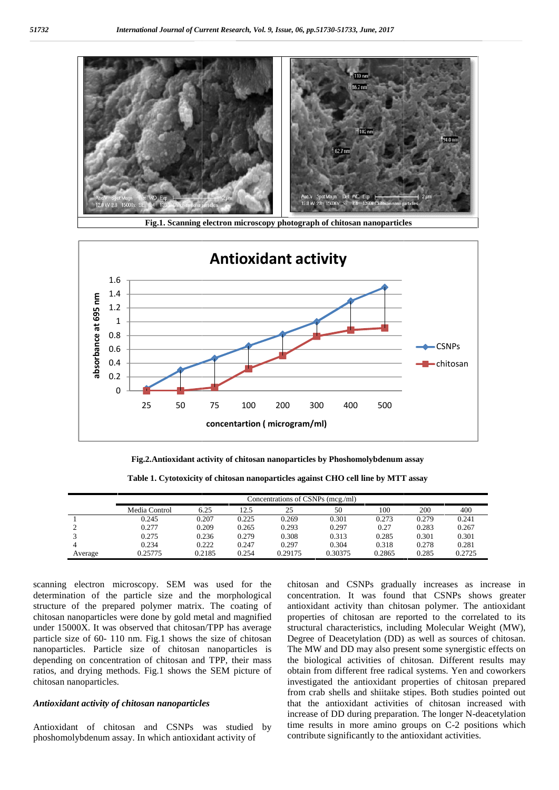

**Fig.1. Scanning electron microscopy photograph of chitosan nanoparticles**



**Fig.2.Antioxidant activity of chitosan nanoparticles by Phoshomolybdenum assay**

**Table 1. Cytotoxicity of chitosan nanoparticles against CHO cell line by MTT assay**

|         | Concentrations of CSNPs (mcg./ml) |        |       |         |         |        |       |        |  |  |  |
|---------|-----------------------------------|--------|-------|---------|---------|--------|-------|--------|--|--|--|
|         | Media Control                     | 6.25   | 12.5  | 25      | 50      | 100    | 200   | 400    |  |  |  |
|         | 0.245                             | 0.207  | 0.225 | 0.269   | 0.301   | 0.273  | 0.279 | 0.241  |  |  |  |
|         | 0.277                             | 0.209  | 0.265 | 0.293   | 0.297   | 0.27   | 0.283 | 0.267  |  |  |  |
|         | 0.275                             | 0.236  | 0.279 | 0.308   | 0.313   | 0.285  | 0.301 | 0.301  |  |  |  |
|         | 0.234                             | 0.222  | 0.247 | 0.297   | 0.304   | 0.318  | 0.278 | 0.281  |  |  |  |
| Average | 0.25775                           | 0.2185 | 0.254 | 0.29175 | 0.30375 | 0.2865 | 0.285 | 0.2725 |  |  |  |

scanning electron microscopy. SEM was used for the determination of the particle size and the morphological structure of the prepared polymer matrix. The coating of chitosan nanoparticles were done by gold metal and magnified under 15000X. It was observed that chitosan/TPP has average particle size of 60- 110 nm. Fig.1 shows the size of chitosan nanoparticles. Particle size of chitosan nanoparticles is depending on concentration of chitosan and TPP, their mass ratios, and drying methods. Fig.1 shows the SEM picture of chitosan nanoparticles. scanning electron microscopy. SEM was used<br>determination of the particle size and the morph<br>structure of the prepared polymer matrix. The coa<br>chitosan nanoparticles were done by gold metal and m<br>under 15000X. It was observ

#### *Antioxidant activity of chitosan nanoparticles Antioxidant*

Antioxidant of chitosan and CSNPs was studied by phoshomolybdenum assay. In which antioxidant activity of

chitosan and CSNPs gradually increases as increase in concentration. It was found that CSNPs shows greater antioxidant activity than chitosan polymer. The antioxidant properties of chitosan are reported to the correlated to its structural characteristics, including Molecular Weight (MW), Degree of Deacetylation (DD) as well as sources of chitosan. The MW and DD may also present some synergistic effects on the biological activities of chitosan. Different results may obtain from different free radical systems. Yen and coworkers investigated the antioxidant properties of chitosan prepared from crab shells and shiitake stipes. Both studies pointed out that the antioxidant activities of chitosan increased with increase of DD during preparation. The longer N-deacetylation time results in more amino groups on C-2 positions which contribute significantly to the antioxidant activities. Surface electrom microscopy. SEM was used for the chitosan and CSNPs gradually increases as increase in<br>
determination of the particle size and the morphological concentration. It was found that CSNPs shows greater<br>
struct